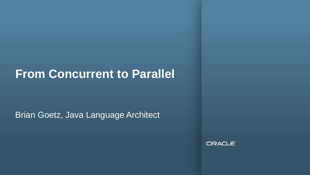#### **From Concurrent to Parallel**

Brian Goetz, Java Language Architect

ORACLE<sup>®</sup>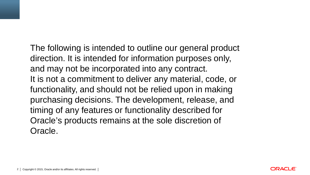The following is intended to outline our general product direction. It is intended for information purposes only, and may not be incorporated into any contract. It is not a commitment to deliver any material, code, or functionality, and should not be relied upon in making purchasing decisions. The development, release, and timing of any features or functionality described for Oracle's products remains at the sole discretion of Oracle.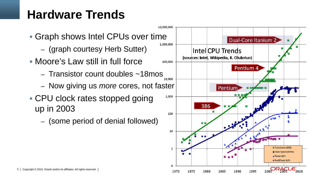# **Hardware Trends**

- Graph shows Intel CPUs over time
	- (graph courtesy Herb Sutter)
- Moore's Law still in full force
	- Transistor count doubles  $\sim$ 18mos
	- Now giving us *more* cores, not faster
- CPU clock rates stopped going up in 2003
	- (some period of denial followed)

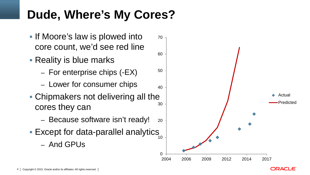## **Dude, Where's My Cores?**

- **If Moore's law is plowed into** core count, we'd see red line
- Reality is blue marks
	- For enterprise chips (-EX)
	- Lower for consumer chips
- Chipmakers not delivering all the cores they can
	- Because software isn't ready!
- Except for data-parallel analytics
	- And GPUs



ORACLE'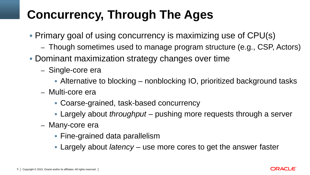# **Concurrency, Through The Ages**

- Primary goal of using concurrency is maximizing use of CPU(s)
	- Though sometimes used to manage program structure (e.g., CSP, Actors)
- **Dominant maximization strategy changes over time** 
	- Single-core era
		- Alternative to blocking nonblocking IO, prioritized background tasks
	- Multi-core era
		- Coarse-grained, task-based concurrency
		- Largely about *throughput* pushing more requests through a server
	- Many-core era
		- **Fine-grained data parallelism**
		- Largely about *latency*  use more cores to get the answer faster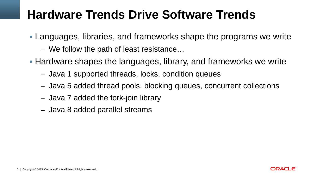## **Hardware Trends Drive Software Trends**

- Languages, libraries, and frameworks shape the programs we write
	- We follow the path of least resistance…
- Hardware shapes the languages, library, and frameworks we write
	- Java 1 supported threads, locks, condition queues
	- Java 5 added thread pools, blocking queues, concurrent collections
	- Java 7 added the fork-join library
	- Java 8 added parallel streams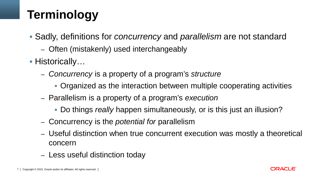# **Terminology**

- Sadly, definitions for *concurrency* and *parallelism* are not standard
	- Often (mistakenly) used interchangeably
- Historically…
	- *Concurrency* is a property of a program's *structure*
		- Organized as the interaction between multiple cooperating activities
	- Parallelism is a property of a program's *execution*
		- Do things *really* happen simultaneously, or is this just an illusion?
	- Concurrency is the *potential for* parallelism
	- Useful distinction when true concurrent execution was mostly a theoretical concern
	- Less useful distinction today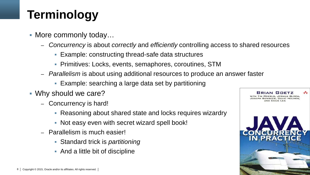# **Terminology**

- More commonly today…
	- *Concurrency* is about *correctly* and *efficiently* controlling access to shared resources
		- Example: constructing thread-safe data structures
		- Primitives: Locks, events, semaphores, coroutines, STM
	- *Parallelism* is about using additional resources to produce an answer faster
		- Example: searching a large data set by partitioning
- Why should we care?
	- Concurrency is hard!
		- Reasoning about shared state and locks requires wizardry
		- Not easy even with secret wizard spell book!
	- Parallelism is much easier!
		- Standard trick is *partitioning*
		- And a little bit of discipline

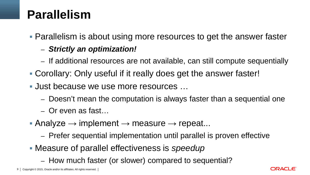## **Parallelism**

Parallelism is about using more resources to get the answer faster

- *Strictly an optimization!*
- If additional resources are not available, can still compute sequentially
- Corollary: Only useful if it really does get the answer faster!
- **Just because we use more resources ...** 
	- Doesn't mean the computation is always faster than a sequential one
	- Or even as fast…
- Analyze  $\rightarrow$  implement  $\rightarrow$  measure  $\rightarrow$  repeat...
	- Prefer sequential implementation until parallel is proven effective
- Measure of parallel effectiveness is *speedup*
	- How much faster (or slower) compared to sequential?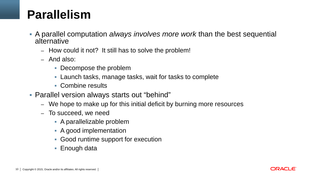### **Parallelism**

- A parallel computation *always involves more work* than the best sequential alternative
	- How could it not? It still has to solve the problem!
	- And also:
		- Decompose the problem
		- Launch tasks, manage tasks, wait for tasks to complete
		- Combine results
- Parallel version always starts out "behind"
	- We hope to make up for this initial deficit by burning more resources
	- To succeed, we need
		- A parallelizable problem
		- A good implementation
		- Good runtime support for execution
		- Enough data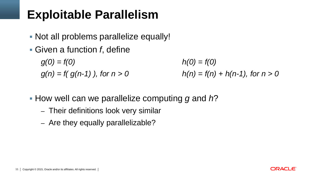## **Exploitable Parallelism**

- Not all problems parallelize equally!
- Given a function *f*, define

*g(0) = f(0) h(0) = f(0)*  $g(n) = f(g(n-1))$ , for  $n > 0$   $h(n) = f(n) + h(n-1)$ , for  $n > 0$ 

- How well can we parallelize computing *g* and *h*?
	- Their definitions look very similar
	- Are they equally parallelizable?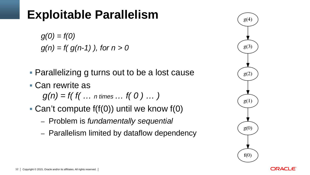#### **Exploitable Parallelism**

*g(0) = f(0) g(n) = f( g(n-1) ), for n > 0*

- **Parallelizing g turns out to be a lost cause**
- Can rewrite as

$$
g(n) = f(f(\dots n \text{ times} \dots f(0) \dots))
$$

- Can't compute f(f(0)) until we know f(0)
	- Problem is *fundamentally sequential*
	- Parallelism limited by dataflow dependency



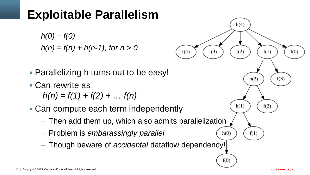## **Exploitable Parallelism**

$$
h(0) = f(0)
$$
  
 
$$
h(n) = f(n) + h(n-1), \text{ for } n > 0
$$

- **Parallelizing h turns out to be easy!**
- Can rewrite as

 $h(n) = f(1) + f(2) + ... f(n)$ 

- Can compute each term independently
	- Then add them up, which also admits parallelization
	- Problem is *embarassingly parallel*
	- Though beware of *accidental* dataflow dependency!

 $h(4)$ 

 $f(2)$ 

 $h(1)$ 

 $h(0)$ 

 $f(0)$ 

 $f(1)$ 

 $f(2)$ 

 $h(2)$ 

 $f(1)$ 

 $f(0)$ 

 $f(3)$ 

 $f(3)$ 

 $f(4)$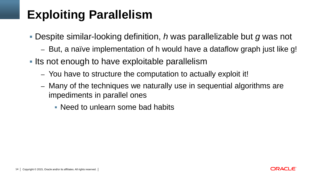## **Exploiting Parallelism**

- Despite similar-looking definition, *h* was parallelizable but *g* was not
	- But, a naïve implementation of h would have a dataflow graph just like g!
- Its not enough to have exploitable parallelism
	- You have to structure the computation to actually exploit it!
	- Many of the techniques we naturally use in sequential algorithms are impediments in parallel ones
		- Need to unlearn some bad habits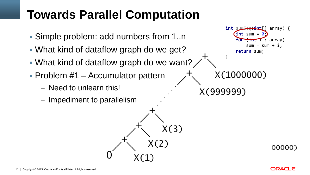- Simple problem: add numbers from 1..n
- What kind of dataflow graph do we get?
- What kind of dataflow graph do we want?
- Problem #1 Accumulator pattern
	- Need to unlearn this!
	- Impediment to parallelism



**int** sumSeq(**int**[] array) {  $\int$ **int** sum =  $\theta$ ; **for** (**int** i : array)  $sum = sum + i;$  **return** sum; }

X(1000000)

X(999999)

00000)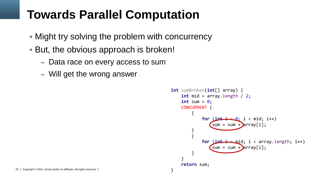- Might try solving the problem with concurrency
- But, the obvious approach is broken!
	- Data race on every access to sum
	- Will get the wrong answer

```
int sumBroken(int[] array) {
     int mid = array.length / 2;
    int sum = \theta;
     CONCURRENT {
          {
              for (\text{int} = 0; i < \text{mid}; i++)sum = sum + parray[i]; }
\overline{\mathcal{L}}for (\textbf{int} - \textbf{min}); i < array.length; i++)
                   sum = sum + \n{array[i]; }
 }
      return sum;
```
}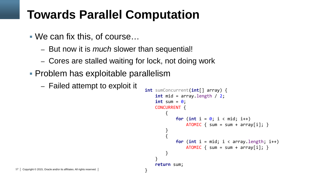- We can fix this, of course…
	- But now it is *much* slower than sequential!
	- Cores are stalled waiting for lock, not doing work

}

- Problem has exploitable parallelism
	- Failed attempt to exploit it **int** sumConcurrent(**int**[] array) {

```
 int mid = array.length / 2;
    int sum = \theta;
     CONCURRENT {
\overline{\mathcal{L}}for (int i = 0; i < \text{mid}; i++)ATOMIC \{ sum = sum + array[i]; \}}<br>}
\overline{\mathcal{L}}for (int i = mid; i < array.length; i++)ATOMIC \{ sum = sum + array[i]; \} }
 }
     return sum;
```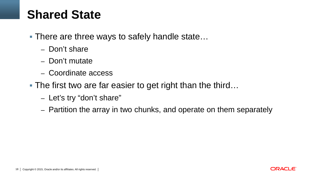## **Shared State**

- **There are three ways to safely handle state...** 
	- Don't share
	- Don't mutate
	- Coordinate access
- The first two are far easier to get right than the third...
	- Let's try "don't share"
	- Partition the array in two chunks, and operate on them separately

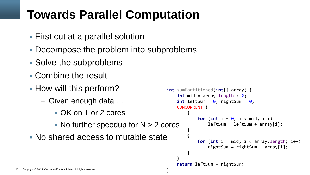- First cut at a parallel solution
- Decompose the problem into subproblems
- Solve the subproblems
- Combine the result
- **How will this perform?** 
	- Given enough data ….
		- OK on 1 or 2 cores
		- $\blacksquare$  No further speedup for N  $>$  2 cores

}

No shared access to mutable state

```
int sumPartitioned(int[] array) {
     int mid = array.length / 2;
    int leftSum = 0, rightSum = 0;
     CONCURRENT {
\overline{\mathcal{L}}for (int i = 0; i < mid; i++)
                leftSum = leftSum + array[i]; }
 {
            for (int i = mid; i \lt array.length; i++)rightSum = rightSum + array[i]; }
 }
     return leftSum + rightSum;
```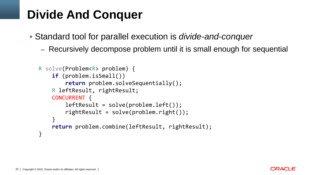## **Divide And Conquer**

- Standard tool for parallel execution is *divide-and-conquer*
	- Recursively decompose problem until it is small enough for sequential

```
R solve(Problem<R> problem) {
     if (problem.isSmall())
         return problem.solveSequentially();
     R leftResult, rightResult;
     CONCURRENT {
        leftResult = solve(problem.left());
         rightResult = solve(problem.right());
 }
     return problem.combine(leftResult, rightResult);
}
```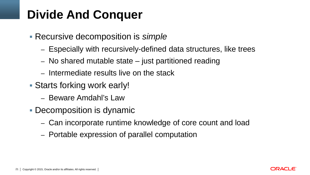## **Divide And Conquer**

- Recursive decomposition is *simple*
	- Especially with recursively-defined data structures, like trees
	- No shared mutable state  $-$  just partitioned reading
	- Intermediate results live on the stack
- Starts forking work early!
	- Beware Amdahl's Law
- **Decomposition is dynamic** 
	- Can incorporate runtime knowledge of core count and load
	- Portable expression of parallel computation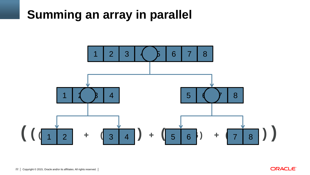## **Summing an array in parallel**



**ORACLE**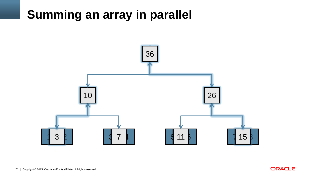## **Summing an array in parallel**



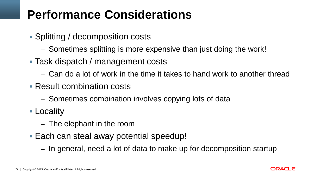## **Performance Considerations**

- Splitting / decomposition costs
	- Sometimes splitting is more expensive than just doing the work!
- Task dispatch / management costs
	- Can do a lot of work in the time it takes to hand work to another thread
- Result combination costs
	- Sometimes combination involves copying lots of data
- Locality
	- The elephant in the room
- Each can steal away potential speedup!
	- In general, need a lot of data to make up for decomposition startup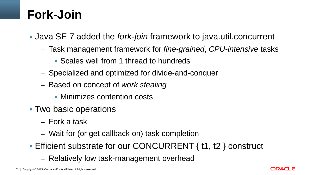### **Fork-Join**

- Java SE 7 added the *fork-join* framework to java.util.concurrent
	- Task management framework for *fine-grained*, *CPU-intensive* tasks
		- Scales well from 1 thread to hundreds
	- Specialized and optimized for divide-and-conquer
	- Based on concept of *work stealing*
		- **Minimizes contention costs**
- Two basic operations
	- Fork a task
	- Wait for (or get callback on) task completion
- **Efficient substrate for our CONCURRENT { t1, t2 } construct** 
	- Relatively low task-management overhead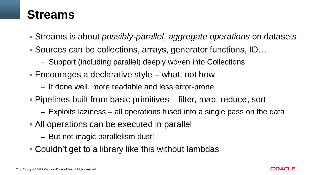### **Streams**

- Streams is about *possibly-parallel*, *aggregate operations* on datasets
- Sources can be collections, arrays, generator functions, IO…
	- Support (including parallel) deeply woven into Collections
- Encourages a declarative style what, not how
	- If done well, more readable and less error-prone
- Pipelines built from basic primitives filter, map, reduce, sort
	- Exploits laziness all operations fused into a single pass on the data
- All operations can be executed in parallel
	- But not magic parallelism dust!
- Couldn't get to a library like this without lambdas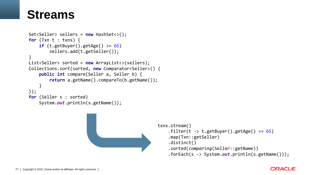#### **Streams**

```
Set<Seller> sellers = new HashSet<>();
for (Txn t : txns) {
    if (t.getBuyer().getAge() >= 65) sellers.add(t.getSeller());
}
List<Seller> sorted = new ArrayList<>(sellers);
Collections.sort(sorted, new Comparator<Seller>() {
     public int compare(Seller a, Seller b) {
         return a.getName().compareTo(b.getName());
     }
});
for (Seller s : sorted)
     System.out.println(s.getName());
```


#### **ORACLE**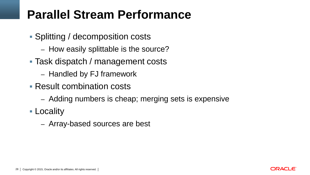## **Parallel Stream Performance**

- **Splitting / decomposition costs** 
	- How easily splittable is the source?
- Task dispatch / management costs
	- Handled by FJ framework
- Result combination costs
	- Adding numbers is cheap; merging sets is expensive
- Locality
	- Array-based sources are best

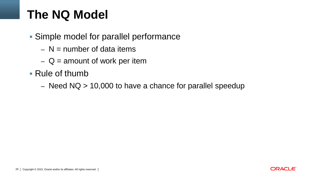## **The NQ Model**

- Simple model for parallel performance
	- $N =$  number of data items
	- $-Q =$  amount of work per item
- Rule of thumb
	- Need  $NQ > 10,000$  to have a chance for parallel speedup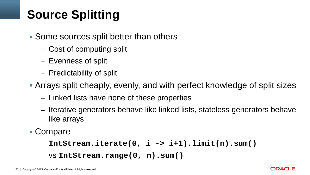# **Source Splitting**

- Some sources split better than others
	- Cost of computing split
	- Evenness of split
	- Predictability of split
- Arrays split cheaply, evenly, and with perfect knowledge of split sizes
	- Linked lists have none of these properties
	- Iterative generators behave like linked lists, stateless generators behave like arrays
- Compare
	- **IntStream.iterate(0, i -> i+1).limit(n).sum()**
	- vs **IntStream.range(0, n).sum()**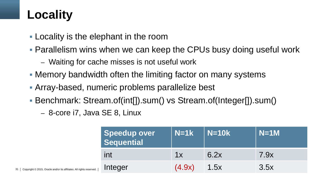# **Locality**

31 Copyright © 2015, Oracle and/or its affiliates. All rights reserved.

- Locality is the elephant in the room
- Parallelism wins when we can keep the CPUs busy doing useful work
	- Waiting for cache misses is not useful work
- Memory bandwidth often the limiting factor on many systems
- Array-based, numeric problems parallelize best
- Benchmark: Stream.of(int[]).sum() vs Stream.of(Integer[]).sum()
	- 8-core i7, Java SE 8, Linux

| Speedup over<br>Sequential | $N=1k$ | $N=10k$ | $N=1M$ |
|----------------------------|--------|---------|--------|
| int                        | 1x     | 6.2x    | 7.9x   |
| Integer                    | (4.9x) | 1.5x    | 3.5x   |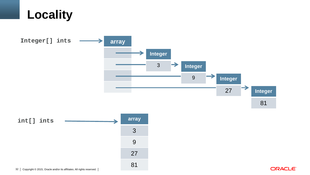



27

81

ORACLE<sup>®</sup>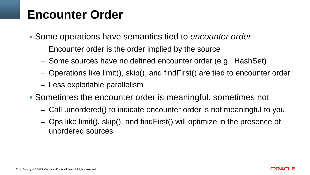#### **Encounter Order**

- Some operations have semantics tied to *encounter order*
	- Encounter order is the order implied by the source
	- Some sources have no defined encounter order (e.g., HashSet)
	- Operations like limit(), skip(), and findFirst() are tied to encounter order
	- Less exploitable parallelism
- Sometimes the encounter order is meaningful, sometimes not
	- Call .unordered() to indicate encounter order is not meaningful to you
	- Ops like limit(), skip(), and findFirst() will optimize in the presence of unordered sources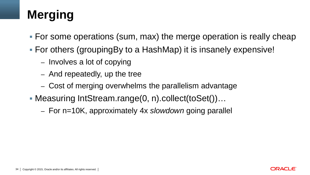# **Merging**

- For some operations (sum, max) the merge operation is really cheap
- For others (groupingBy to a HashMap) it is insanely expensive!
	- Involves a lot of copying
	- And repeatedly, up the tree
	- Cost of merging overwhelms the parallelism advantage
- Measuring IntStream.range(0, n).collect(toSet())…
	- For n=10K, approximately 4x *slowdown* going parallel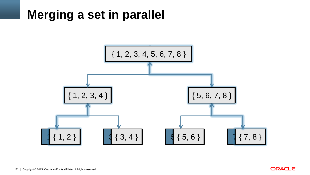## **Merging a set in parallel**



**ORACLE**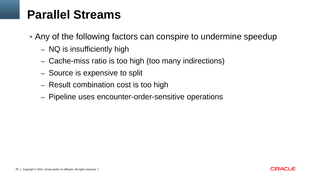## **Parallel Streams**

- Any of the following factors can conspire to undermine speedup
	- NQ is insufficiently high
	- Cache-miss ratio is too high (too many indirections)
	- Source is expensive to split
	- Result combination cost is too high
	- Pipeline uses encounter-order-sensitive operations